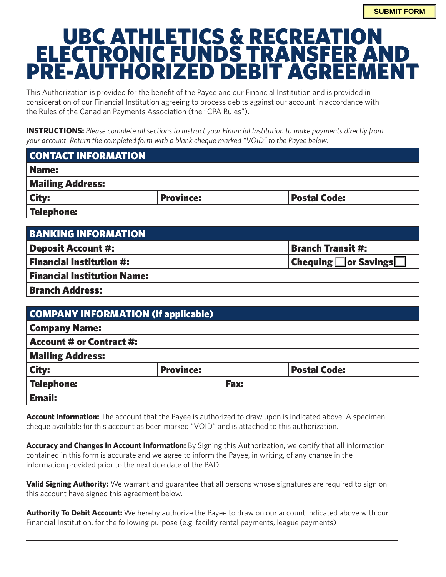## UBC ATHLETICS & RECREATION ELECTRONIC FUNDS TRANSFER AND PRE-AUTHORIZED DEBIT AGREEMENT

This Authorization is provided for the benefit of the Payee and our Financial Institution and is provided in consideration of our Financial Institution agreeing to process debits against our account in accordance with the Rules of the Canadian Payments Association (the "CPA Rules").

**INSTRUCTIONS:** *Please complete all sections to instruct your Financial Institution to make payments directly from your account. Return the completed form with a blank cheque marked "VOID" to the Payee below.*

| <b>CONTACT INFORMATION</b> |                  |                     |  |  |
|----------------------------|------------------|---------------------|--|--|
| <b>Name:</b>               |                  |                     |  |  |
| <b>Mailing Address:</b>    |                  |                     |  |  |
| <b>City:</b>               | <b>Province:</b> | <b>Postal Code:</b> |  |  |
| Telephone:                 |                  |                     |  |  |

| <b>BANKING INFORMATION</b>         |                                                     |
|------------------------------------|-----------------------------------------------------|
| Deposit Account #:                 | <b>Branch Transit #:</b>                            |
| <b>Financial Institution #:</b>    | <b>Chequing <math>\Box</math></b> or Savings $\Box$ |
| <b>Financial Institution Name:</b> |                                                     |
| <b>Branch Address:</b>             |                                                     |

|                                 | <b>COMPANY INFORMATION (if applicable)</b> |             |                     |
|---------------------------------|--------------------------------------------|-------------|---------------------|
| <b>Company Name:</b>            |                                            |             |                     |
| <b>Account # or Contract #:</b> |                                            |             |                     |
| <b>Mailing Address:</b>         |                                            |             |                     |
| <b>City:</b>                    | <b>Province:</b>                           |             | <b>Postal Code:</b> |
| <b>Telephone:</b>               |                                            | <b>Fax:</b> |                     |
| <b>Email:</b>                   |                                            |             |                     |

**Account Information:** The account that the Payee is authorized to draw upon is indicated above. A specimen cheque available for this account as been marked "VOID" and is attached to this authorization.

**Accuracy and Changes in Account Information:** By Signing this Authorization, we certify that all information contained in this form is accurate and we agree to inform the Payee, in writing, of any change in the information provided prior to the next due date of the PAD.

**Valid Signing Authority:** We warrant and guarantee that all persons whose signatures are required to sign on this account have signed this agreement below.

**Authority To Debit Account:** We hereby authorize the Payee to draw on our account indicated above with our Financial Institution, for the following purpose (e.g. facility rental payments, league payments)